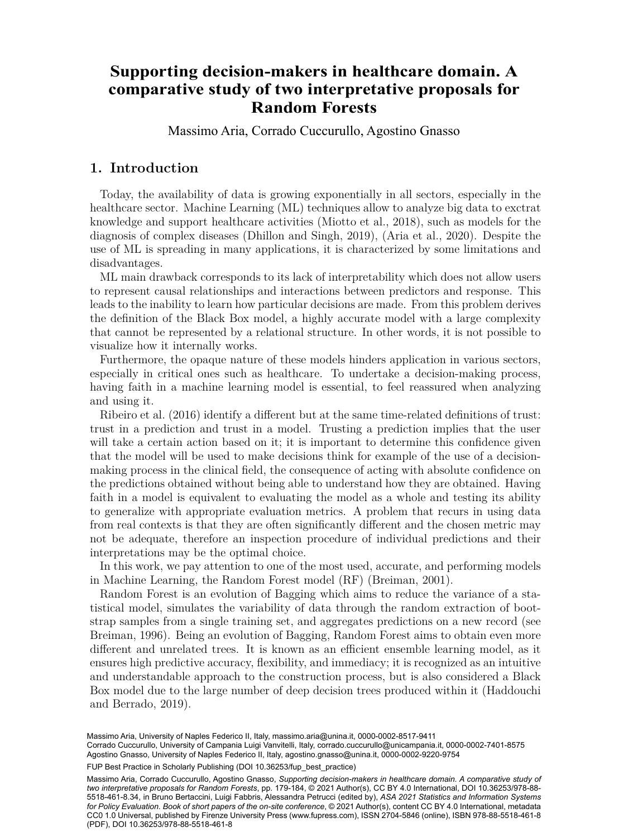# comparative study of two interpretative proposals for <sup>a</sup> Department of Economics and Statistics, University of Naples Federico II, Italy **Random Forests** <sup>b</sup> Department of Economics, University of Campania Lugi Vanvitelli, Italy **Supporting decision-makers in healthcare domain. A**

Massimo Aria, Corrado Cuccurullo, Agostino Gnasso

## **1. Introduction**

Today, the availability of data is growing exponentially in all sectors, especially in the healthcare sector. Machine Learning (ML) techniques allow to analyze big data to exctrat knowledge and support healthcare activities (Miotto et al., 2018), such as models for the diagnosis of complex diseases (Dhillon and Singh, 2019), (Aria et al., 2020). Despite the use of ML is spreading in many applications, it is characterized by some limitations and disadvantages.

ML main drawback corresponds to its lack of interpretability which does not allow users to represent causal relationships and interactions between predictors and response. This leads to the inability to learn how particular decisions are made. From this problem derives the definition of the Black Box model, a highly accurate model with a large complexity that cannot be represented by a relational structure. In other words, it is not possible to visualize how it internally works.

Furthermore, the opaque nature of these models hinders application in various sectors, especially in critical ones such as healthcare. To undertake a decision-making process, having faith in a machine learning model is essential, to feel reassured when analyzing and using it.

Ribeiro et al. (2016) identify a different but at the same time-related definitions of trust: trust in a prediction and trust in a model. Trusting a prediction implies that the user will take a certain action based on it; it is important to determine this confidence given that the model will be used to make decisions think for example of the use of a decisionmaking process in the clinical field, the consequence of acting with absolute confidence on the predictions obtained without being able to understand how they are obtained. Having faith in a model is equivalent to evaluating the model as a whole and testing its ability to generalize with appropriate evaluation metrics. A problem that recurs in using data from real contexts is that they are often significantly different and the chosen metric may not be adequate, therefore an inspection procedure of individual predictions and their interpretations may be the optimal choice.

In this work, we pay attention to one of the most used, accurate, and performing models in Machine Learning, the Random Forest model (RF) (Breiman, 2001).

Random Forest is an evolution of Bagging which aims to reduce the variance of a statistical model, simulates the variability of data through the random extraction of bootstrap samples from a single training set, and aggregates predictions on a new record (see Breiman, 1996). Being an evolution of Bagging, Random Forest aims to obtain even more different and unrelated trees. It is known as an efficient ensemble learning model, as it ensures high predictive accuracy, flexibility, and immediacy; it is recognized as an intuitive and understandable approach to the construction process, but is also considered a Black Box model due to the large number of deep decision trees produced within it (Haddouchi and Berrado, 2019).

Massimo Aria, University of Naples Federico II, Italy, [massimo.aria@unina.it](mailto:massimo.aria@unina.it), [0000-0002-8517-9411](https://orcid.org/0000-0002-8517-9411)

165 Agostino Gnasso, University of Naples Federico II, Italy, [agostino.gnasso@unina.it,](mailto:agostino.gnasso@unina.it) [0000-0002-9220-9754](https://orcid.org/0000-0002-9220-9754) Corrado Cuccurullo, University of Campania Luigi Vanvitelli, Italy, [corrado.cuccurullo@unicampania.it,](mailto:corrado.cuccurullo@unicampania.it) [0000-0002-7401-8575](https://orcid.org/0000-0002-7401-8575)

FUP Best Practice in Scholarly Publishing (DOI [10.36253/fup\\_best\\_practice\)](https://doi.org/10.36253/fup_best_practice)

Massimo Aria, Corrado Cuccurullo, Agostino Gnasso, *Supporting decision-makers in healthcare domain. A comparative study of two interpretative proposals for Random Forests*, pp. 179-184, © 2021 Author(s), [CC BY 4.0 International](http://creativecommons.org/licenses/by/4.0/legalcode), DOI [10.36253/978-88-](https://doi.org/10.36253/978-88-5518-461-8.34) [5518-461-8.34](https://doi.org/10.36253/978-88-5518-461-8.34), in Bruno Bertaccini, Luigi Fabbris, Alessandra Petrucci (edited by), *ASA 2021 Statistics and Information Systems for Policy Evaluation. Book of short papers of the on-site conference*, © 2021 Author(s), content [CC BY 4.0 International](http://creativecommons.org/licenses/by/4.0/legalcode), metadata [CC0 1.0 Universal,](https://creativecommons.org/publicdomain/zero/1.0/legalcode) published by Firenze University Press ([www.fupress.com\)](http://www.fupress.com), ISSN 2704-5846 (online), ISBN 978-88-5518-461-8 (PDF), DOI [10.36253/978-88-5518-461-8](https://doi.org/10.36253/978-88-5518-461-8)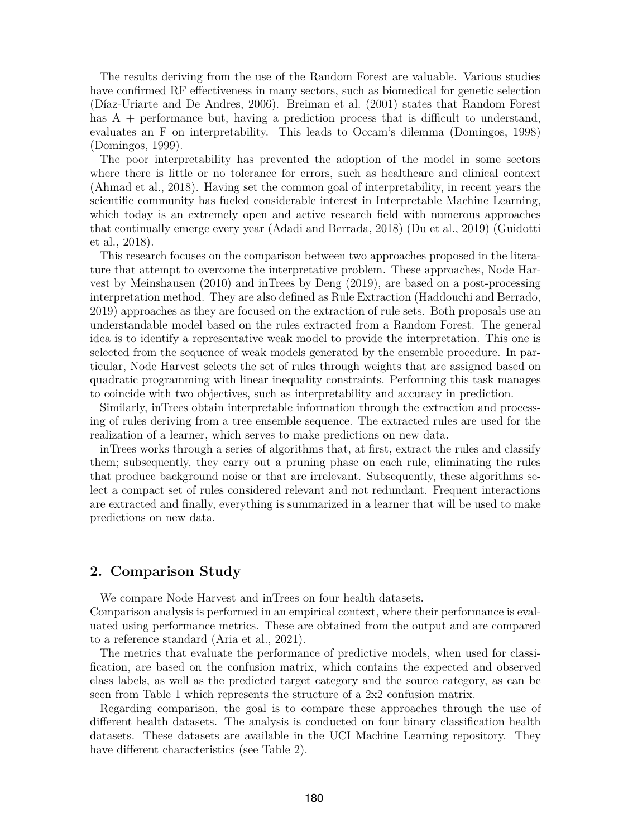The results deriving from the use of the Random Forest are valuable. Various studies have confirmed RF effectiveness in many sectors, such as biomedical for genetic selection (Díaz-Uriarte and De Andres, 2006). Breiman et al. (2001) states that Random Forest has A + performance but, having a prediction process that is difficult to understand, evaluates an F on interpretability. This leads to Occam's dilemma (Domingos, 1998) (Domingos, 1999).

The poor interpretability has prevented the adoption of the model in some sectors where there is little or no tolerance for errors, such as healthcare and clinical context (Ahmad et al., 2018). Having set the common goal of interpretability, in recent years the scientific community has fueled considerable interest in Interpretable Machine Learning, which today is an extremely open and active research field with numerous approaches that continually emerge every year (Adadi and Berrada, 2018) (Du et al., 2019) (Guidotti et al., 2018).

This research focuses on the comparison between two approaches proposed in the literature that attempt to overcome the interpretative problem. These approaches, Node Harvest by Meinshausen (2010) and inTrees by Deng (2019), are based on a post-processing interpretation method. They are also defined as Rule Extraction (Haddouchi and Berrado, 2019) approaches as they are focused on the extraction of rule sets. Both proposals use an understandable model based on the rules extracted from a Random Forest. The general idea is to identify a representative weak model to provide the interpretation. This one is selected from the sequence of weak models generated by the ensemble procedure. In particular, Node Harvest selects the set of rules through weights that are assigned based on quadratic programming with linear inequality constraints. Performing this task manages to coincide with two objectives, such as interpretability and accuracy in prediction.

Similarly, inTrees obtain interpretable information through the extraction and processing of rules deriving from a tree ensemble sequence. The extracted rules are used for the realization of a learner, which serves to make predictions on new data.

inTrees works through a series of algorithms that, at first, extract the rules and classify them; subsequently, they carry out a pruning phase on each rule, eliminating the rules that produce background noise or that are irrelevant. Subsequently, these algorithms select a compact set of rules considered relevant and not redundant. Frequent interactions are extracted and finally, everything is summarized in a learner that will be used to make predictions on new data.

#### **2. Comparison Study**

We compare Node Harvest and inTrees on four health datasets.

Comparison analysis is performed in an empirical context, where their performance is evaluated using performance metrics. These are obtained from the output and are compared to a reference standard (Aria et al., 2021).

The metrics that evaluate the performance of predictive models, when used for classification, are based on the confusion matrix, which contains the expected and observed class labels, as well as the predicted target category and the source category, as can be seen from Table 1 which represents the structure of a 2x2 confusion matrix.

Regarding comparison, the goal is to compare these approaches through the use of different health datasets. The analysis is conducted on four binary classification health datasets. These datasets are available in the UCI Machine Learning repository. They have different characteristics (see Table 2).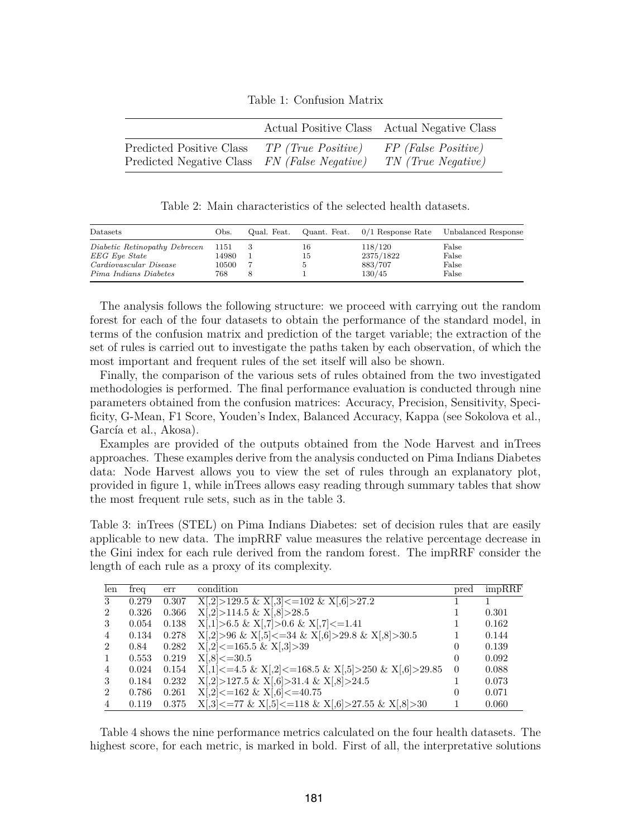Table 1: Confusion Matrix

|                          |                     | Actual Positive Class Actual Negative Class |
|--------------------------|---------------------|---------------------------------------------|
| Predicted Positive Class | TP (True Positive)  | FP (False Positive)                         |
| Predicted Negative Class | FN (False Negative) | TN (True Negative)                          |

Table 2: Main characteristics of the selected health datasets.

| Datasets                      | Obs.  | Qual. Feat. |    |           | Quant. Feat. $0/1$ Response Rate Unbalanced Response |
|-------------------------------|-------|-------------|----|-----------|------------------------------------------------------|
| Diabetic Retinopathy Debrecen | 1151  |             | 16 | 118/120   | False                                                |
| EEG Eye State                 | 14980 |             | 15 | 2375/1822 | False                                                |
| Cardiovascular Disease        | 10500 |             |    | 883/707   | False                                                |
| Pima Indians Diabetes         | 768   |             |    | 130/45    | False                                                |

The analysis follows the following structure: we proceed with carrying out the random forest for each of the four datasets to obtain the performance of the standard model, in terms of the confusion matrix and prediction of the target variable; the extraction of the set of rules is carried out to investigate the paths taken by each observation, of which the most important and frequent rules of the set itself will also be shown.

Finally, the comparison of the various sets of rules obtained from the two investigated methodologies is performed. The final performance evaluation is conducted through nine parameters obtained from the confusion matrices: Accuracy, Precision, Sensitivity, Specificity, G-Mean, F1 Score, Youden's Index, Balanced Accuracy, Kappa (see Sokolova et al., García et al., Akosa).

Examples are provided of the outputs obtained from the Node Harvest and inTrees approaches. These examples derive from the analysis conducted on Pima Indians Diabetes data: Node Harvest allows you to view the set of rules through an explanatory plot, provided in figure 1, while inTrees allows easy reading through summary tables that show the most frequent rule sets, such as in the table 3.

Table 3: inTrees (STEL) on Pima Indians Diabetes: set of decision rules that are easily applicable to new data. The impRRF value measures the relative percentage decrease in the Gini index for each rule derived from the random forest. The impRRF consider the length of each rule as a proxy of its complexity.

| len            | freq  | err   | condition                                                            | pred     | impRRF |
|----------------|-------|-------|----------------------------------------------------------------------|----------|--------|
| 3              | 0.279 | 0.307 | $X[,2] > 129.5 \& X[,3] < = 102 \& X[,6] > 27.2$                     |          |        |
| $\overline{2}$ | 0.326 | 0.366 | $X[,2] > 114.5 \& X[,8] > 28.5$                                      |          | 0.301  |
| 3              | 0.054 | 0.138 | $X[,1] > 6.5 \& X[,7] > 0.6 \& X[,7] < =1.41$                        |          | 0.162  |
| $\overline{4}$ | 0.134 | 0.278 | $X[,2] > 96 \& X[,5] < = 34 \& X[,6] > 29.8 \& X[,8] > 30.5$         |          | 0.144  |
| 2              | 0.84  | 0.282 | $X[,2] \leq 165.5 \& X[,3] > 39$                                     | $\theta$ | 0.139  |
| $\overline{1}$ | 0.553 | 0.219 | $X[,8] \le 30.5$                                                     | $\theta$ | 0.092  |
| $\overline{4}$ | 0.024 | 0.154 | $X[,1] \leq 4.5 \& X[,2] \leq 168.5 \& X[,5] > 250 \& X[,6] > 29.85$ | $\Omega$ | 0.088  |
| 3              | 0.184 | 0.232 | $X[,2] > 127.5 \& X[,6] > 31.4 \& X[,8] > 24.5$                      |          | 0.073  |
| $\overline{2}$ | 0.786 | 0.261 | $X[,2] \leq 162 \& X[,6] \leq 40.75$                                 | 0        | 0.071  |
| $\overline{4}$ | 0.119 | 0.375 | $X[3] \leq 77 \& X[5] \leq 118 \& X[6] \geq 27.55 \& X[8] \geq 30$   |          | 0.060  |

Table 4 shows the nine performance metrics calculated on the four health datasets. The highest score, for each metric, is marked in bold. First of all, the interpretative solutions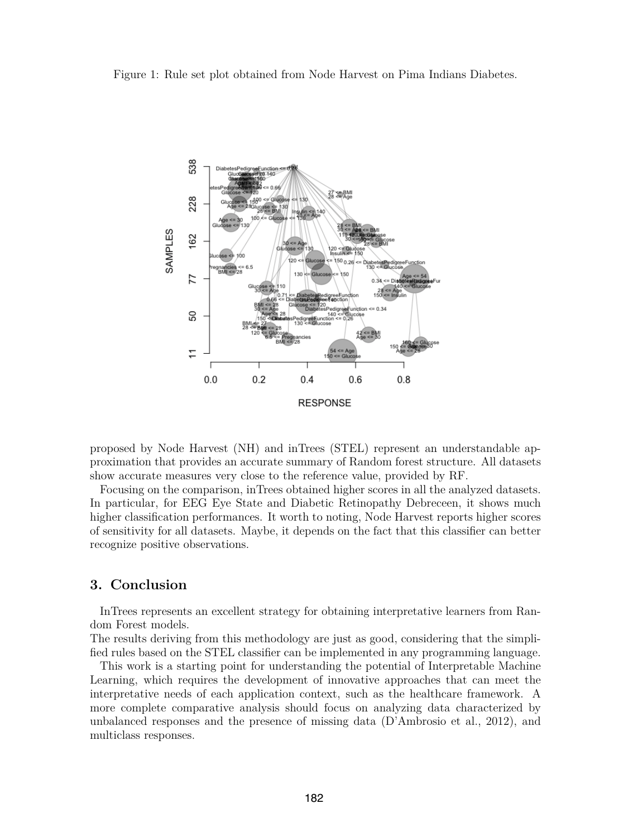Figure 1: Rule set plot obtained from Node Harvest on Pima Indians Diabetes.



proposed by Node Harvest (NH) and inTrees (STEL) represent an understandable approximation that provides an accurate summary of Random forest structure. All datasets show accurate measures very close to the reference value, provided by RF.

Focusing on the comparison, inTrees obtained higher scores in all the analyzed datasets. In particular, for EEG Eye State and Diabetic Retinopathy Debreceen, it shows much higher classification performances. It worth to noting, Node Harvest reports higher scores of sensitivity for all datasets. Maybe, it depends on the fact that this classifier can better recognize positive observations.

### **3. Conclusion**

InTrees represents an excellent strategy for obtaining interpretative learners from Random Forest models.

The results deriving from this methodology are just as good, considering that the simplified rules based on the STEL classifier can be implemented in any programming language.

This work is a starting point for understanding the potential of Interpretable Machine Learning, which requires the development of innovative approaches that can meet the interpretative needs of each application context, such as the healthcare framework. A more complete comparative analysis should focus on analyzing data characterized by unbalanced responses and the presence of missing data (D'Ambrosio et al., 2012), and multiclass responses.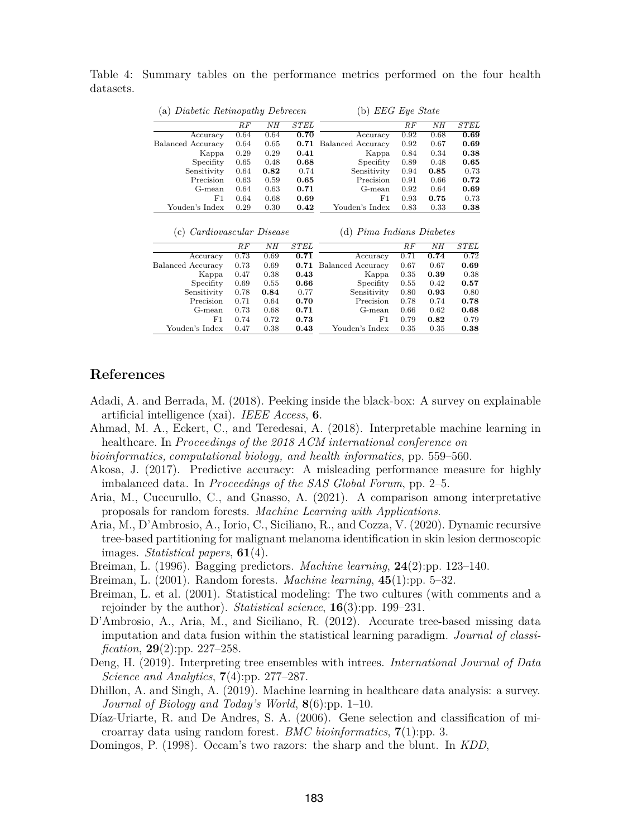| (a) Diabetic Retinopathy Debrecen |                 |                 |                   | (b) $EEG$ Eye State       |                 |                 |             |  |
|-----------------------------------|-----------------|-----------------|-------------------|---------------------------|-----------------|-----------------|-------------|--|
|                                   | $\overline{RF}$ | $\overline{NH}$ | $\overline{STEL}$ |                           | $\overline{RF}$ | $\overline{NH}$ | <b>STEL</b> |  |
| Accuracy                          | 0.64            | 0.64            | 0.70              | Accuracy                  | 0.92            | 0.68            | 0.69        |  |
| Balanced Accuracy                 | 0.64            | 0.65            | 0.71              | Balanced Accuracy         | 0.92            | 0.67            | 0.69        |  |
| Kappa                             | 0.29            | 0.29            | 0.41              | Kappa                     | 0.84            | 0.34            | 0.38        |  |
| Specifity                         | 0.65            | 0.48            | 0.68              | Specifity                 | 0.89            | 0.48            | 0.65        |  |
| Sensitivity                       | 0.64            | 0.82            | 0.74              | Sensitivity               | 0.94            | 0.85            | 0.73        |  |
| Precision                         | 0.63            | 0.59            | 0.65              | Precision                 | 0.91            | 0.66            | 0.72        |  |
| G-mean                            | 0.64            | 0.63            | 0.71              | G-mean                    | 0.92            | 0.64            | 0.69        |  |
| F1                                | 0.64            | 0.68            | 0.69              | F1                        | 0.93            | 0.75            | 0.73        |  |
| Youden's Index                    | 0.29            | 0.30            | 0.42              | Youden's Index            | 0.83            | 0.33            | 0.38        |  |
| Cardiovascular Disease<br>(c)     |                 |                 |                   | (d) Pima Indians Diabetes |                 |                 |             |  |
|                                   | RF              | NH              | <b>STEL</b>       |                           | RF              | NH              | <b>STEL</b> |  |
| Accuracy                          | 0.73            | 0.69            | 0.71              | Accuracy                  | 0.71            | 0.74            | 0.72        |  |
| <b>Balanced Accuracy</b>          | 0.73            | 0.69            | 0.71              | <b>Balanced Accuracy</b>  | 0.67            | 0.67            | 0.69        |  |
| Kappa                             | 0.47            | 0.38            | 0.43              | Kappa                     | 0.35            | 0.39            | 0.38        |  |
| Specifity                         | 0.69            | 0.55            | 0.66              | Specifity                 | 0.55            | 0.42            | 0.57        |  |
| Sensitivity                       | 0.78            | 0.84            | 0.77              | Sensitivity               | 0.80            | 0.93            | 0.80        |  |
| Precision                         | 0.71            | 0.64            | 0.70              | Precision                 | 0.78            | 0.74            | 0.78        |  |

Youden's Index

G-mean 0.66 0.62 **0.68**<br>F1 0.79 **0.82** 0.79

0.79 **0.82** 0.79<br>0.35 0.35 **0.38** 

Table 4: Summary tables on the performance metrics performed on the four health datasets.

## **References**

- Adadi, A. and Berrada, M. (2018). Peeking inside the black-box: A survey on explainable artificial intelligence (xai). *IEEE Access*, **6**.
- Ahmad, M. A., Eckert, C., and Teredesai, A. (2018). Interpretable machine learning in healthcare. In *Proceedings of the 2018 ACM international conference on*
- *bioinformatics, computational biology, and health informatics*, pp. 559–560.

Precision 0.71 0.64 **0.70**<br>
G-mean 0.73 0.68 **0.71** G-mean 0.73 0.68 **0.71**<br>F1 0.74 0.72 **0.73**  $\begin{array}{cccc} 0.74 & 0.72 & \textbf{0.73} \\ 0.47 & 0.38 & \textbf{0.43} \end{array}$ 

Youden's Index

- Akosa, J. (2017). Predictive accuracy: A misleading performance measure for highly imbalanced data. In *Proceedings of the SAS Global Forum*, pp. 2–5.
- Aria, M., Cuccurullo, C., and Gnasso, A. (2021). A comparison among interpretative proposals for random forests. *Machine Learning with Applications*.
- Aria, M., D'Ambrosio, A., Iorio, C., Siciliano, R., and Cozza, V. (2020). Dynamic recursive tree-based partitioning for malignant melanoma identification in skin lesion dermoscopic images. *Statistical papers*, **61**(4).
- Breiman, L. (1996). Bagging predictors. *Machine learning*, **24**(2):pp. 123–140.
- Breiman, L. (2001). Random forests. *Machine learning*, **45**(1):pp. 5–32.
- Breiman, L. et al. (2001). Statistical modeling: The two cultures (with comments and a rejoinder by the author). *Statistical science*, **16**(3):pp. 199–231.
- D'Ambrosio, A., Aria, M., and Siciliano, R. (2012). Accurate tree-based missing data imputation and data fusion within the statistical learning paradigm. *Journal of classification*, **29**(2):pp. 227–258.
- Deng, H. (2019). Interpreting tree ensembles with intrees. *International Journal of Data Science and Analytics*, **7**(4):pp. 277–287.
- Dhillon, A. and Singh, A. (2019). Machine learning in healthcare data analysis: a survey. *Journal of Biology and Today's World*, **8**(6):pp. 1–10.
- Díaz-Uriarte, R. and De Andres, S. A. (2006). Gene selection and classification of microarray data using random forest. *BMC bioinformatics*, **7**(1):pp. 3.
- Domingos, P. (1998). Occam's two razors: the sharp and the blunt. In *KDD*,